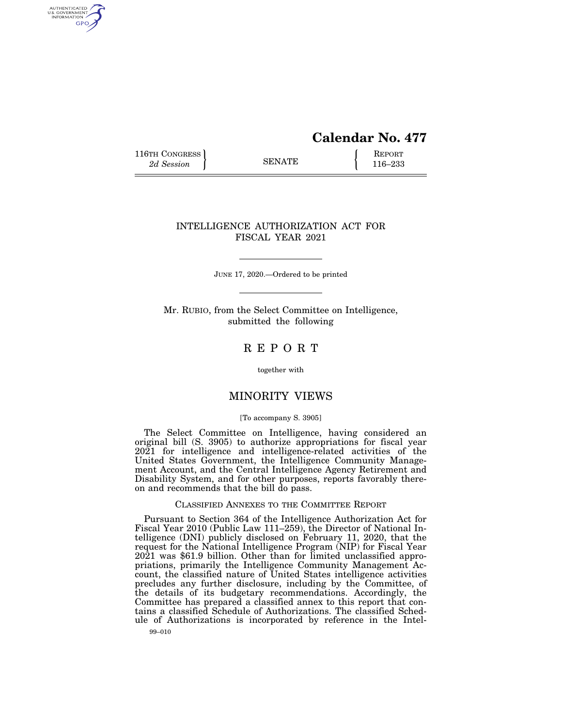# **Calendar No. 477**

116TH CONGRESS **REPORT** 2d Session **116–233** 

AUTHENTICATED<br>U.S. GOVERNMENT<br>INFORMATION GPO

# INTELLIGENCE AUTHORIZATION ACT FOR FISCAL YEAR 2021

JUNE 17, 2020.—Ordered to be printed

Mr. RUBIO, from the Select Committee on Intelligence, submitted the following

# R E P O R T

together with

# MINORITY VIEWS

#### [To accompany S. 3905]

The Select Committee on Intelligence, having considered an original bill (S. 3905) to authorize appropriations for fiscal year 2021 for intelligence and intelligence-related activities of the United States Government, the Intelligence Community Management Account, and the Central Intelligence Agency Retirement and Disability System, and for other purposes, reports favorably thereon and recommends that the bill do pass.

# CLASSIFIED ANNEXES TO THE COMMITTEE REPORT

Pursuant to Section 364 of the Intelligence Authorization Act for Fiscal Year 2010 (Public Law 111–259), the Director of National Intelligence (DNI) publicly disclosed on February 11, 2020, that the request for the National Intelligence Program (NIP) for Fiscal Year 2021 was \$61.9 billion. Other than for limited unclassified appropriations, primarily the Intelligence Community Management Account, the classified nature of United States intelligence activities precludes any further disclosure, including by the Committee, of the details of its budgetary recommendations. Accordingly, the Committee has prepared a classified annex to this report that contains a classified Schedule of Authorizations. The classified Schedule of Authorizations is incorporated by reference in the Intel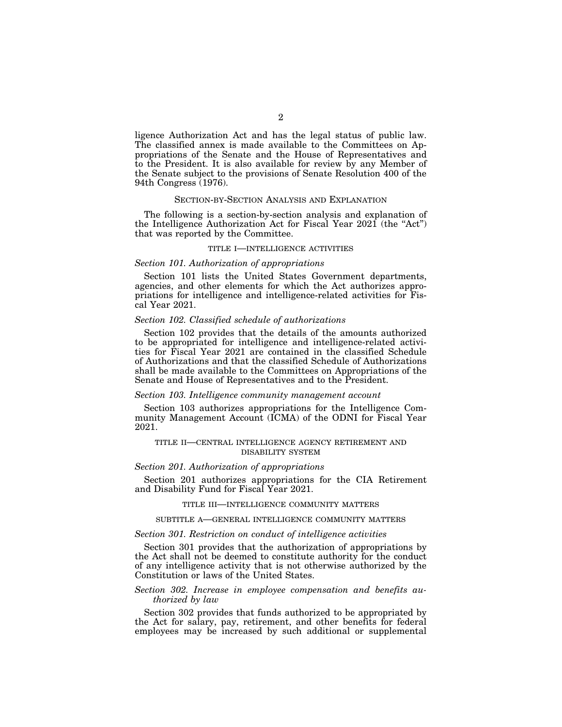ligence Authorization Act and has the legal status of public law. The classified annex is made available to the Committees on Appropriations of the Senate and the House of Representatives and to the President. It is also available for review by any Member of the Senate subject to the provisions of Senate Resolution 400 of the 94th Congress (1976).

#### SECTION-BY-SECTION ANALYSIS AND EXPLANATION

The following is a section-by-section analysis and explanation of the Intelligence Authorization Act for Fiscal Year 2021 (the ''Act'') that was reported by the Committee.

# TITLE I—INTELLIGENCE ACTIVITIES

#### *Section 101. Authorization of appropriations*

Section 101 lists the United States Government departments, agencies, and other elements for which the Act authorizes appropriations for intelligence and intelligence-related activities for Fiscal Year 2021.

#### *Section 102. Classified schedule of authorizations*

Section 102 provides that the details of the amounts authorized to be appropriated for intelligence and intelligence-related activities for Fiscal Year 2021 are contained in the classified Schedule of Authorizations and that the classified Schedule of Authorizations shall be made available to the Committees on Appropriations of the Senate and House of Representatives and to the President.

#### *Section 103. Intelligence community management account*

Section 103 authorizes appropriations for the Intelligence Community Management Account (ICMA) of the ODNI for Fiscal Year 2021.

#### TITLE II—CENTRAL INTELLIGENCE AGENCY RETIREMENT AND DISABILITY SYSTEM

#### *Section 201. Authorization of appropriations*

Section 201 authorizes appropriations for the CIA Retirement and Disability Fund for Fiscal Year 2021.

#### TITLE III—INTELLIGENCE COMMUNITY MATTERS

#### SUBTITLE A—GENERAL INTELLIGENCE COMMUNITY MATTERS

#### *Section 301. Restriction on conduct of intelligence activities*

Section 301 provides that the authorization of appropriations by the Act shall not be deemed to constitute authority for the conduct of any intelligence activity that is not otherwise authorized by the Constitution or laws of the United States.

## *Section 302. Increase in employee compensation and benefits authorized by law*

Section 302 provides that funds authorized to be appropriated by the Act for salary, pay, retirement, and other benefits for federal employees may be increased by such additional or supplemental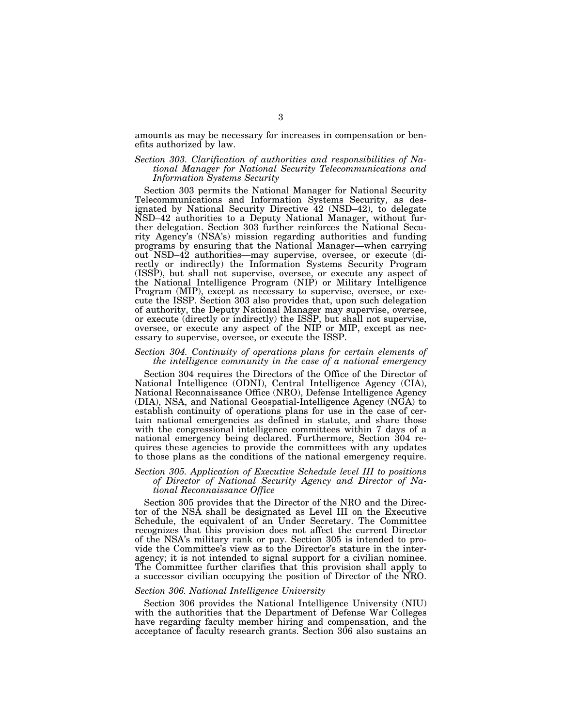amounts as may be necessary for increases in compensation or benefits authorized by law.

## *Section 303. Clarification of authorities and responsibilities of National Manager for National Security Telecommunications and Information Systems Security*

Section 303 permits the National Manager for National Security Telecommunications and Information Systems Security, as designated by National Security Directive 42 (NSD–42), to delegate NSD–42 authorities to a Deputy National Manager, without further delegation. Section 303 further reinforces the National Security Agency's (NSA's) mission regarding authorities and funding programs by ensuring that the National Manager—when carrying out NSD–42 authorities—may supervise, oversee, or execute (directly or indirectly) the Information Systems Security Program (ISSP), but shall not supervise, oversee, or execute any aspect of the National Intelligence Program (NIP) or Military Intelligence Program (MIP), except as necessary to supervise, oversee, or execute the ISSP. Section 303 also provides that, upon such delegation of authority, the Deputy National Manager may supervise, oversee, or execute (directly or indirectly) the ISSP, but shall not supervise, oversee, or execute any aspect of the NIP or MIP, except as necessary to supervise, oversee, or execute the ISSP.

#### *Section 304. Continuity of operations plans for certain elements of the intelligence community in the case of a national emergency*

Section 304 requires the Directors of the Office of the Director of National Intelligence (ODNI), Central Intelligence Agency (CIA), National Reconnaissance Office (NRO), Defense Intelligence Agency (DIA), NSA, and National Geospatial-Intelligence Agency (NGA) to establish continuity of operations plans for use in the case of certain national emergencies as defined in statute, and share those with the congressional intelligence committees within 7 days of a national emergency being declared. Furthermore, Section 304 requires these agencies to provide the committees with any updates to those plans as the conditions of the national emergency require.

## *Section 305. Application of Executive Schedule level III to positions of Director of National Security Agency and Director of National Reconnaissance Office*

Section 305 provides that the Director of the NRO and the Director of the NSA shall be designated as Level III on the Executive Schedule, the equivalent of an Under Secretary. The Committee recognizes that this provision does not affect the current Director of the NSA's military rank or pay. Section 305 is intended to provide the Committee's view as to the Director's stature in the interagency; it is not intended to signal support for a civilian nominee. The Committee further clarifies that this provision shall apply to a successor civilian occupying the position of Director of the NRO.

#### *Section 306. National Intelligence University*

Section 306 provides the National Intelligence University (NIU) with the authorities that the Department of Defense War Colleges have regarding faculty member hiring and compensation, and the acceptance of faculty research grants. Section 306 also sustains an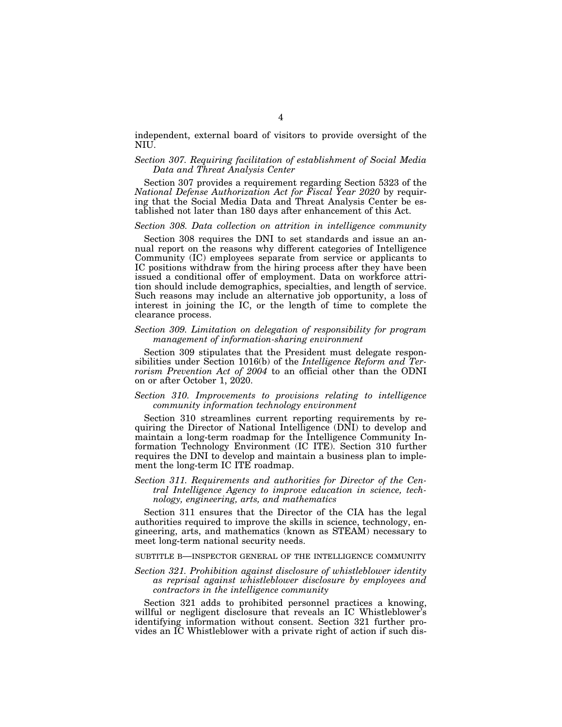independent, external board of visitors to provide oversight of the NIU.

## *Section 307. Requiring facilitation of establishment of Social Media Data and Threat Analysis Center*

Section 307 provides a requirement regarding Section 5323 of the *National Defense Authorization Act for Fiscal Year 2020* by requiring that the Social Media Data and Threat Analysis Center be established not later than 180 days after enhancement of this Act.

# *Section 308. Data collection on attrition in intelligence community*

Section 308 requires the DNI to set standards and issue an annual report on the reasons why different categories of Intelligence Community (IC) employees separate from service or applicants to IC positions withdraw from the hiring process after they have been issued a conditional offer of employment. Data on workforce attrition should include demographics, specialties, and length of service. Such reasons may include an alternative job opportunity, a loss of interest in joining the IC, or the length of time to complete the clearance process.

## *Section 309. Limitation on delegation of responsibility for program management of information-sharing environment*

Section 309 stipulates that the President must delegate responsibilities under Section 1016(b) of the *Intelligence Reform and Terrorism Prevention Act of 2004* to an official other than the ODNI on or after October 1, 2020.

#### *Section 310. Improvements to provisions relating to intelligence community information technology environment*

Section 310 streamlines current reporting requirements by requiring the Director of National Intelligence (DNI) to develop and maintain a long-term roadmap for the Intelligence Community Information Technology Environment (IC ITE). Section 310 further requires the DNI to develop and maintain a business plan to implement the long-term IC ITE roadmap.

# *Section 311. Requirements and authorities for Director of the Central Intelligence Agency to improve education in science, technology, engineering, arts, and mathematics*

Section 311 ensures that the Director of the CIA has the legal authorities required to improve the skills in science, technology, engineering, arts, and mathematics (known as STEAM) necessary to meet long-term national security needs.

#### SUBTITLE B—INSPECTOR GENERAL OF THE INTELLIGENCE COMMUNITY

## *Section 321. Prohibition against disclosure of whistleblower identity as reprisal against whistleblower disclosure by employees and contractors in the intelligence community*

Section 321 adds to prohibited personnel practices a knowing, willful or negligent disclosure that reveals an IC Whistleblower's identifying information without consent. Section 321 further provides an IC Whistleblower with a private right of action if such dis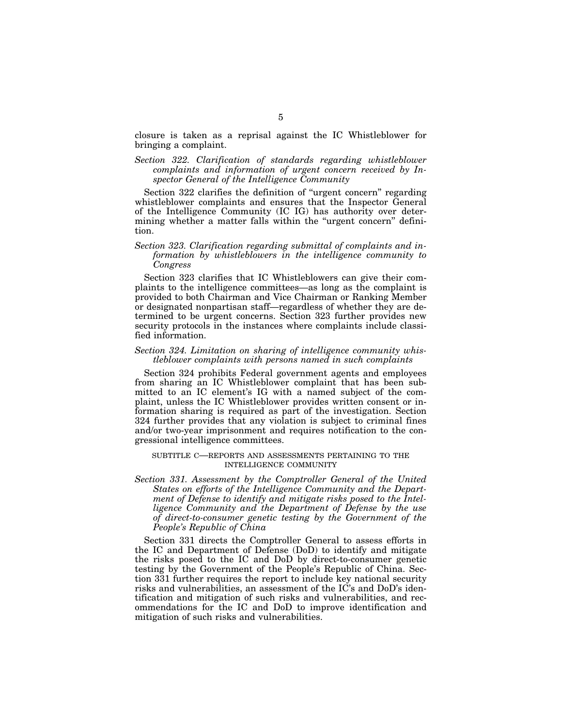closure is taken as a reprisal against the IC Whistleblower for bringing a complaint.

Section 322. Clarification of standards regarding whistleblower *complaints and information of urgent concern received by Inspector General of the Intelligence Community* 

Section 322 clarifies the definition of "urgent concern" regarding whistleblower complaints and ensures that the Inspector General of the Intelligence Community (IC IG) has authority over determining whether a matter falls within the "urgent concern" definition.

# *Section 323. Clarification regarding submittal of complaints and information by whistleblowers in the intelligence community to Congress*

Section 323 clarifies that IC Whistleblowers can give their complaints to the intelligence committees—as long as the complaint is provided to both Chairman and Vice Chairman or Ranking Member or designated nonpartisan staff—regardless of whether they are determined to be urgent concerns. Section 323 further provides new security protocols in the instances where complaints include classified information.

## *Section 324. Limitation on sharing of intelligence community whistleblower complaints with persons named in such complaints*

Section 324 prohibits Federal government agents and employees from sharing an IC Whistleblower complaint that has been submitted to an IC element's IG with a named subject of the complaint, unless the IC Whistleblower provides written consent or information sharing is required as part of the investigation. Section 324 further provides that any violation is subject to criminal fines and/or two-year imprisonment and requires notification to the congressional intelligence committees.

## SUBTITLE C—REPORTS AND ASSESSMENTS PERTAINING TO THE INTELLIGENCE COMMUNITY

*Section 331. Assessment by the Comptroller General of the United States on efforts of the Intelligence Community and the Department of Defense to identify and mitigate risks posed to the Intelligence Community and the Department of Defense by the use of direct-to-consumer genetic testing by the Government of the People's Republic of China* 

Section 331 directs the Comptroller General to assess efforts in the IC and Department of Defense (DoD) to identify and mitigate the risks posed to the IC and DoD by direct-to-consumer genetic testing by the Government of the People's Republic of China. Section 331 further requires the report to include key national security risks and vulnerabilities, an assessment of the IC's and DoD's identification and mitigation of such risks and vulnerabilities, and recommendations for the IC and DoD to improve identification and mitigation of such risks and vulnerabilities.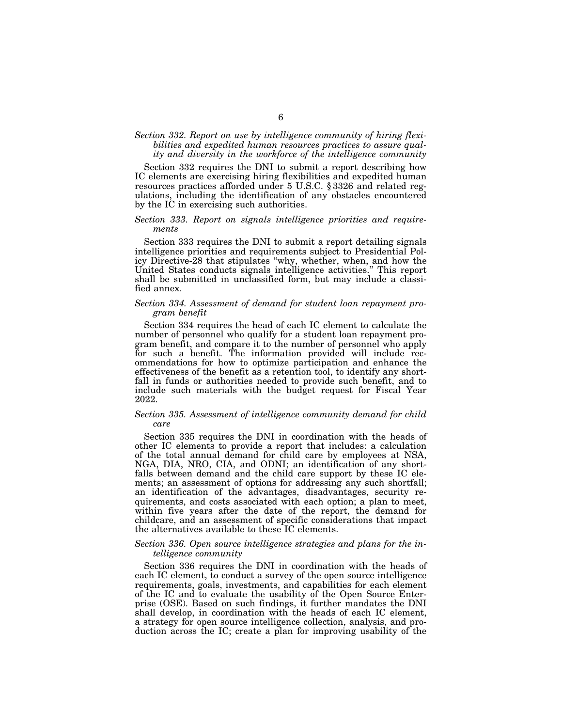# *Section 332. Report on use by intelligence community of hiring flexibilities and expedited human resources practices to assure quality and diversity in the workforce of the intelligence community*

Section 332 requires the DNI to submit a report describing how IC elements are exercising hiring flexibilities and expedited human resources practices afforded under 5 U.S.C. § 3326 and related regulations, including the identification of any obstacles encountered by the IC in exercising such authorities.

#### *Section 333. Report on signals intelligence priorities and requirements*

Section 333 requires the DNI to submit a report detailing signals intelligence priorities and requirements subject to Presidential Policy Directive-28 that stipulates ''why, whether, when, and how the United States conducts signals intelligence activities.'' This report shall be submitted in unclassified form, but may include a classified annex.

## *Section 334. Assessment of demand for student loan repayment program benefit*

Section 334 requires the head of each IC element to calculate the number of personnel who qualify for a student loan repayment program benefit, and compare it to the number of personnel who apply for such a benefit. The information provided will include recommendations for how to optimize participation and enhance the effectiveness of the benefit as a retention tool, to identify any shortfall in funds or authorities needed to provide such benefit, and to include such materials with the budget request for Fiscal Year 2022.

## *Section 335. Assessment of intelligence community demand for child care*

Section 335 requires the DNI in coordination with the heads of other IC elements to provide a report that includes: a calculation of the total annual demand for child care by employees at NSA, NGA, DIA, NRO, CIA, and ODNI; an identification of any shortfalls between demand and the child care support by these IC elements; an assessment of options for addressing any such shortfall; an identification of the advantages, disadvantages, security requirements, and costs associated with each option; a plan to meet, within five years after the date of the report, the demand for childcare, and an assessment of specific considerations that impact the alternatives available to these IC elements.

#### *Section 336. Open source intelligence strategies and plans for the intelligence community*

Section 336 requires the DNI in coordination with the heads of each IC element, to conduct a survey of the open source intelligence requirements, goals, investments, and capabilities for each element of the IC and to evaluate the usability of the Open Source Enterprise (OSE). Based on such findings, it further mandates the DNI shall develop, in coordination with the heads of each IC element, a strategy for open source intelligence collection, analysis, and production across the IC; create a plan for improving usability of the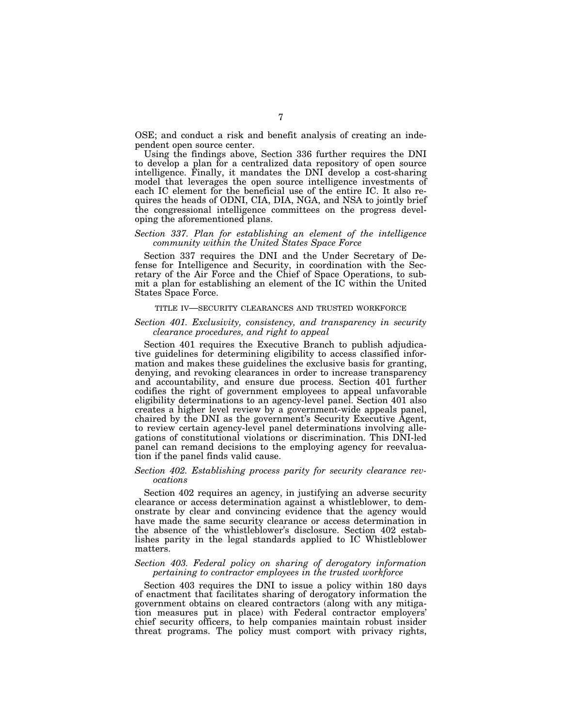OSE; and conduct a risk and benefit analysis of creating an independent open source center.

Using the findings above, Section 336 further requires the DNI to develop a plan for a centralized data repository of open source intelligence. Finally, it mandates the DNI develop a cost-sharing model that leverages the open source intelligence investments of each IC element for the beneficial use of the entire IC. It also requires the heads of ODNI, CIA, DIA, NGA, and NSA to jointly brief the congressional intelligence committees on the progress developing the aforementioned plans.

#### *Section 337. Plan for establishing an element of the intelligence community within the United States Space Force*

Section 337 requires the DNI and the Under Secretary of Defense for Intelligence and Security, in coordination with the Secretary of the Air Force and the Chief of Space Operations, to submit a plan for establishing an element of the IC within the United States Space Force.

#### TITLE IV—SECURITY CLEARANCES AND TRUSTED WORKFORCE

## *Section 401. Exclusivity, consistency, and transparency in security clearance procedures, and right to appeal*

Section 401 requires the Executive Branch to publish adjudicative guidelines for determining eligibility to access classified information and makes these guidelines the exclusive basis for granting, denying, and revoking clearances in order to increase transparency and accountability, and ensure due process. Section 401 further codifies the right of government employees to appeal unfavorable eligibility determinations to an agency-level panel. Section 401 also creates a higher level review by a government-wide appeals panel, chaired by the DNI as the government's Security Executive Agent, to review certain agency-level panel determinations involving allegations of constitutional violations or discrimination. This DNI-led panel can remand decisions to the employing agency for reevaluation if the panel finds valid cause.

#### *Section 402. Establishing process parity for security clearance revocations*

Section 402 requires an agency, in justifying an adverse security clearance or access determination against a whistleblower, to demonstrate by clear and convincing evidence that the agency would have made the same security clearance or access determination in the absence of the whistleblower's disclosure. Section 402 establishes parity in the legal standards applied to IC Whistleblower matters.

#### *Section 403. Federal policy on sharing of derogatory information pertaining to contractor employees in the trusted workforce*

Section 403 requires the DNI to issue a policy within 180 days of enactment that facilitates sharing of derogatory information the government obtains on cleared contractors (along with any mitigation measures put in place) with Federal contractor employers' chief security officers, to help companies maintain robust insider threat programs. The policy must comport with privacy rights,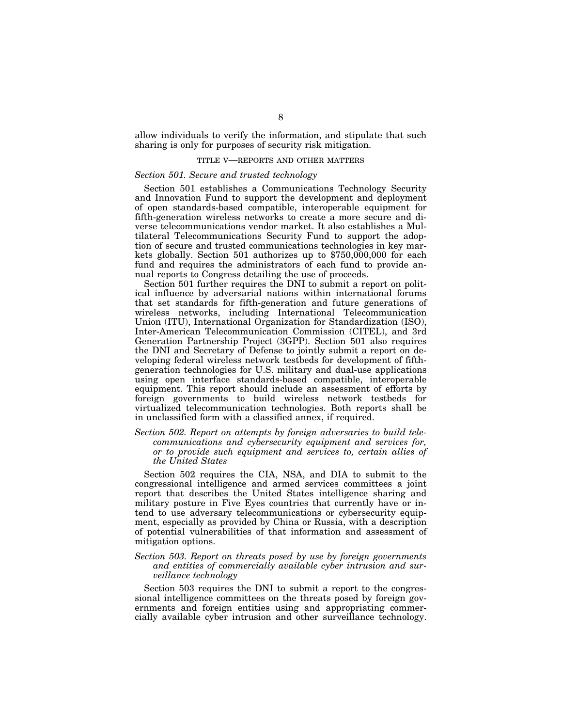allow individuals to verify the information, and stipulate that such sharing is only for purposes of security risk mitigation.

#### TITLE V—REPORTS AND OTHER MATTERS

#### *Section 501. Secure and trusted technology*

Section 501 establishes a Communications Technology Security and Innovation Fund to support the development and deployment of open standards-based compatible, interoperable equipment for fifth-generation wireless networks to create a more secure and diverse telecommunications vendor market. It also establishes a Multilateral Telecommunications Security Fund to support the adoption of secure and trusted communications technologies in key markets globally. Section 501 authorizes up to \$750,000,000 for each fund and requires the administrators of each fund to provide annual reports to Congress detailing the use of proceeds.

Section 501 further requires the DNI to submit a report on political influence by adversarial nations within international forums that set standards for fifth-generation and future generations of wireless networks, including International Telecommunication Union (ITU), International Organization for Standardization (ISO), Inter-American Telecommunication Commission (CITEL), and 3rd Generation Partnership Project (3GPP). Section 501 also requires the DNI and Secretary of Defense to jointly submit a report on developing federal wireless network testbeds for development of fifthgeneration technologies for U.S. military and dual-use applications using open interface standards-based compatible, interoperable equipment. This report should include an assessment of efforts by foreign governments to build wireless network testbeds for virtualized telecommunication technologies. Both reports shall be in unclassified form with a classified annex, if required.

## *Section 502. Report on attempts by foreign adversaries to build telecommunications and cybersecurity equipment and services for, or to provide such equipment and services to, certain allies of the United States*

Section 502 requires the CIA, NSA, and DIA to submit to the congressional intelligence and armed services committees a joint report that describes the United States intelligence sharing and military posture in Five Eyes countries that currently have or intend to use adversary telecommunications or cybersecurity equipment, especially as provided by China or Russia, with a description of potential vulnerabilities of that information and assessment of mitigation options.

## *Section 503. Report on threats posed by use by foreign governments and entities of commercially available cyber intrusion and surveillance technology*

Section 503 requires the DNI to submit a report to the congressional intelligence committees on the threats posed by foreign governments and foreign entities using and appropriating commercially available cyber intrusion and other surveillance technology.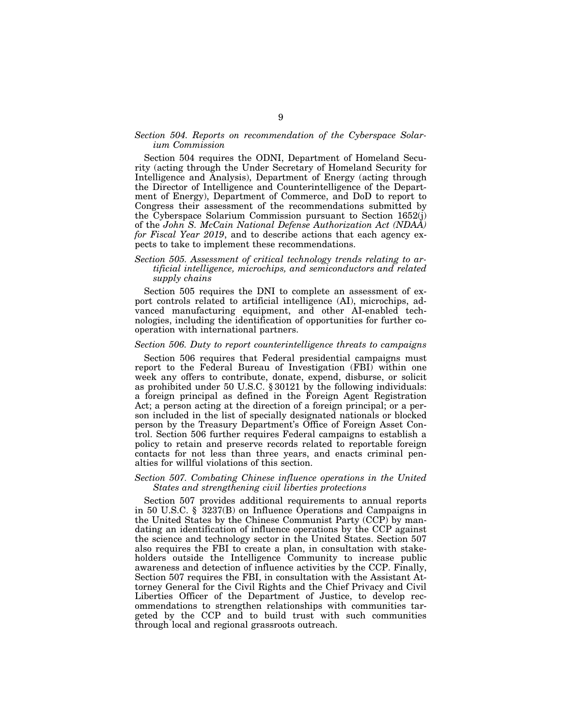# *Section 504. Reports on recommendation of the Cyberspace Solarium Commission*

Section 504 requires the ODNI, Department of Homeland Security (acting through the Under Secretary of Homeland Security for Intelligence and Analysis), Department of Energy (acting through the Director of Intelligence and Counterintelligence of the Department of Energy), Department of Commerce, and DoD to report to Congress their assessment of the recommendations submitted by the Cyberspace Solarium Commission pursuant to Section 1652(j) of the *John S. McCain National Defense Authorization Act (NDAA) for Fiscal Year 2019*, and to describe actions that each agency expects to take to implement these recommendations.

# *Section 505. Assessment of critical technology trends relating to artificial intelligence, microchips, and semiconductors and related supply chains*

Section 505 requires the DNI to complete an assessment of export controls related to artificial intelligence (AI), microchips, advanced manufacturing equipment, and other AI-enabled technologies, including the identification of opportunities for further cooperation with international partners.

## *Section 506. Duty to report counterintelligence threats to campaigns*

Section 506 requires that Federal presidential campaigns must report to the Federal Bureau of Investigation (FBI) within one week any offers to contribute, donate, expend, disburse, or solicit as prohibited under 50 U.S.C. § 30121 by the following individuals: a foreign principal as defined in the Foreign Agent Registration Act; a person acting at the direction of a foreign principal; or a person included in the list of specially designated nationals or blocked person by the Treasury Department's Office of Foreign Asset Control. Section 506 further requires Federal campaigns to establish a policy to retain and preserve records related to reportable foreign contacts for not less than three years, and enacts criminal penalties for willful violations of this section.

# *Section 507. Combating Chinese influence operations in the United States and strengthening civil liberties protections*

Section 507 provides additional requirements to annual reports in 50 U.S.C. § 3237(B) on Influence Operations and Campaigns in the United States by the Chinese Communist Party (CCP) by mandating an identification of influence operations by the CCP against the science and technology sector in the United States. Section 507 also requires the FBI to create a plan, in consultation with stakeholders outside the Intelligence Community to increase public awareness and detection of influence activities by the CCP. Finally, Section 507 requires the FBI, in consultation with the Assistant Attorney General for the Civil Rights and the Chief Privacy and Civil Liberties Officer of the Department of Justice, to develop recommendations to strengthen relationships with communities targeted by the CCP and to build trust with such communities through local and regional grassroots outreach.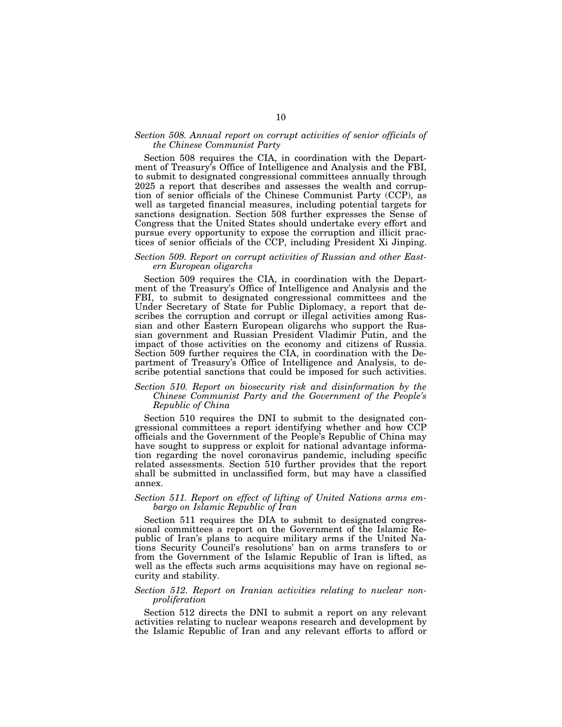#### *Section 508. Annual report on corrupt activities of senior officials of the Chinese Communist Party*

Section 508 requires the CIA, in coordination with the Department of Treasury's Office of Intelligence and Analysis and the FBI, to submit to designated congressional committees annually through 2025 a report that describes and assesses the wealth and corruption of senior officials of the Chinese Communist Party (CCP), as well as targeted financial measures, including potential targets for sanctions designation. Section 508 further expresses the Sense of Congress that the United States should undertake every effort and pursue every opportunity to expose the corruption and illicit practices of senior officials of the CCP, including President Xi Jinping.

#### *Section 509. Report on corrupt activities of Russian and other Eastern European oligarchs*

Section 509 requires the CIA, in coordination with the Department of the Treasury's Office of Intelligence and Analysis and the FBI, to submit to designated congressional committees and the Under Secretary of State for Public Diplomacy, a report that describes the corruption and corrupt or illegal activities among Russian and other Eastern European oligarchs who support the Russian government and Russian President Vladimir Putin, and the impact of those activities on the economy and citizens of Russia. Section 509 further requires the CIA, in coordination with the Department of Treasury's Office of Intelligence and Analysis, to describe potential sanctions that could be imposed for such activities.

## *Section 510. Report on biosecurity risk and disinformation by the Chinese Communist Party and the Government of the People's Republic of China*

Section 510 requires the DNI to submit to the designated congressional committees a report identifying whether and how CCP officials and the Government of the People's Republic of China may have sought to suppress or exploit for national advantage information regarding the novel coronavirus pandemic, including specific related assessments. Section 510 further provides that the report shall be submitted in unclassified form, but may have a classified annex.

#### *Section 511. Report on effect of lifting of United Nations arms embargo on Islamic Republic of Iran*

Section 511 requires the DIA to submit to designated congressional committees a report on the Government of the Islamic Republic of Iran's plans to acquire military arms if the United Nations Security Council's resolutions' ban on arms transfers to or from the Government of the Islamic Republic of Iran is lifted, as well as the effects such arms acquisitions may have on regional security and stability.

#### *Section 512. Report on Iranian activities relating to nuclear nonproliferation*

Section 512 directs the DNI to submit a report on any relevant activities relating to nuclear weapons research and development by the Islamic Republic of Iran and any relevant efforts to afford or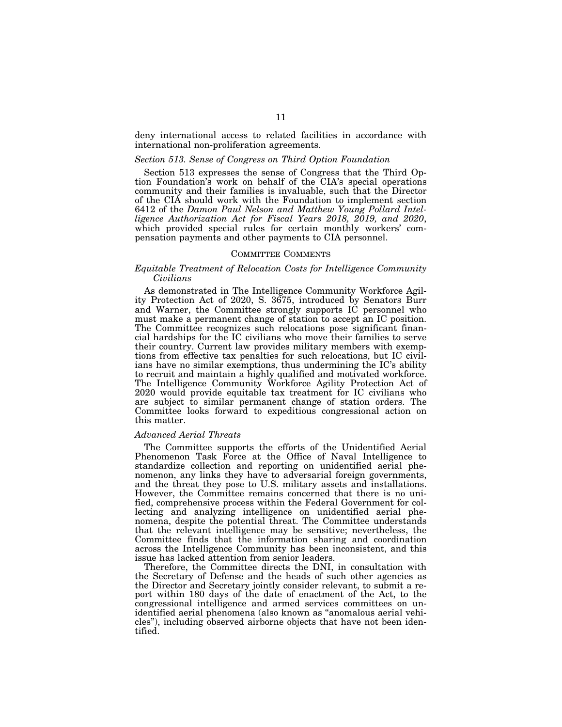deny international access to related facilities in accordance with international non-proliferation agreements.

#### *Section 513. Sense of Congress on Third Option Foundation*

Section 513 expresses the sense of Congress that the Third Option Foundation's work on behalf of the CIA's special operations community and their families is invaluable, such that the Director of the CIA should work with the Foundation to implement section 6412 of the *Damon Paul Nelson and Matthew Young Pollard Intelligence Authorization Act for Fiscal Years 2018, 2019, and 2020*, which provided special rules for certain monthly workers' compensation payments and other payments to CIA personnel.

## COMMITTEE COMMENTS

## *Equitable Treatment of Relocation Costs for Intelligence Community Civilians*

As demonstrated in The Intelligence Community Workforce Agility Protection Act of 2020, S. 3675, introduced by Senators Burr and Warner, the Committee strongly supports IC personnel who must make a permanent change of station to accept an IC position. The Committee recognizes such relocations pose significant financial hardships for the IC civilians who move their families to serve their country. Current law provides military members with exemptions from effective tax penalties for such relocations, but IC civilians have no similar exemptions, thus undermining the IC's ability to recruit and maintain a highly qualified and motivated workforce. The Intelligence Community Workforce Agility Protection Act of 2020 would provide equitable tax treatment for IC civilians who are subject to similar permanent change of station orders. The Committee looks forward to expeditious congressional action on this matter.

#### *Advanced Aerial Threats*

The Committee supports the efforts of the Unidentified Aerial Phenomenon Task Force at the Office of Naval Intelligence to standardize collection and reporting on unidentified aerial phenomenon, any links they have to adversarial foreign governments, and the threat they pose to U.S. military assets and installations. However, the Committee remains concerned that there is no unified, comprehensive process within the Federal Government for collecting and analyzing intelligence on unidentified aerial phenomena, despite the potential threat. The Committee understands that the relevant intelligence may be sensitive; nevertheless, the Committee finds that the information sharing and coordination across the Intelligence Community has been inconsistent, and this issue has lacked attention from senior leaders.

Therefore, the Committee directs the DNI, in consultation with the Secretary of Defense and the heads of such other agencies as the Director and Secretary jointly consider relevant, to submit a report within 180 days of the date of enactment of the Act, to the congressional intelligence and armed services committees on unidentified aerial phenomena (also known as ''anomalous aerial vehicles''), including observed airborne objects that have not been identified.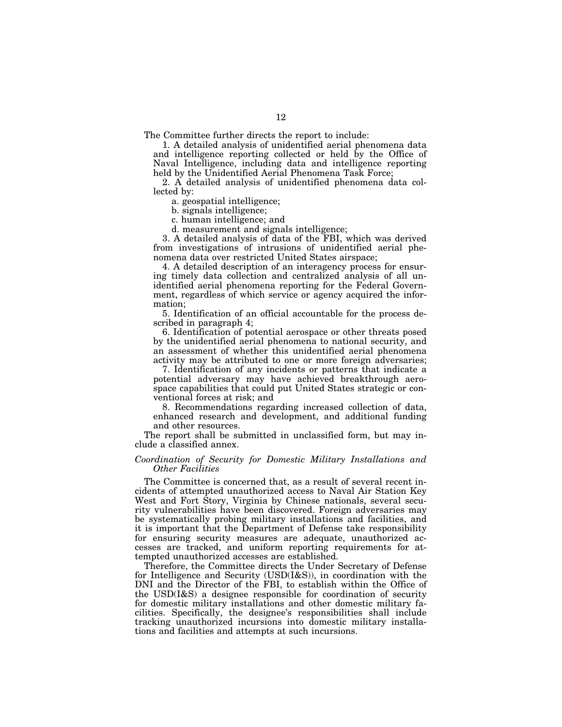The Committee further directs the report to include:

1. A detailed analysis of unidentified aerial phenomena data and intelligence reporting collected or held by the Office of Naval Intelligence, including data and intelligence reporting held by the Unidentified Aerial Phenomena Task Force;

2. A detailed analysis of unidentified phenomena data collected by:

a. geospatial intelligence;

b. signals intelligence;

c. human intelligence; and

d. measurement and signals intelligence;

3. A detailed analysis of data of the FBI, which was derived from investigations of intrusions of unidentified aerial phenomena data over restricted United States airspace;

4. A detailed description of an interagency process for ensuring timely data collection and centralized analysis of all unidentified aerial phenomena reporting for the Federal Government, regardless of which service or agency acquired the information;

5. Identification of an official accountable for the process described in paragraph 4;

6. Identification of potential aerospace or other threats posed by the unidentified aerial phenomena to national security, and an assessment of whether this unidentified aerial phenomena activity may be attributed to one or more foreign adversaries;

7. Identification of any incidents or patterns that indicate a potential adversary may have achieved breakthrough aerospace capabilities that could put United States strategic or conventional forces at risk; and

8. Recommendations regarding increased collection of data, enhanced research and development, and additional funding and other resources.

The report shall be submitted in unclassified form, but may include a classified annex.

# *Coordination of Security for Domestic Military Installations and Other Facilities*

The Committee is concerned that, as a result of several recent incidents of attempted unauthorized access to Naval Air Station Key West and Fort Story, Virginia by Chinese nationals, several security vulnerabilities have been discovered. Foreign adversaries may be systematically probing military installations and facilities, and it is important that the Department of Defense take responsibility for ensuring security measures are adequate, unauthorized accesses are tracked, and uniform reporting requirements for attempted unauthorized accesses are established.

Therefore, the Committee directs the Under Secretary of Defense for Intelligence and Security (USD(I&S)), in coordination with the DNI and the Director of the FBI, to establish within the Office of the USD(I&S) a designee responsible for coordination of security for domestic military installations and other domestic military facilities. Specifically, the designee's responsibilities shall include tracking unauthorized incursions into domestic military installations and facilities and attempts at such incursions.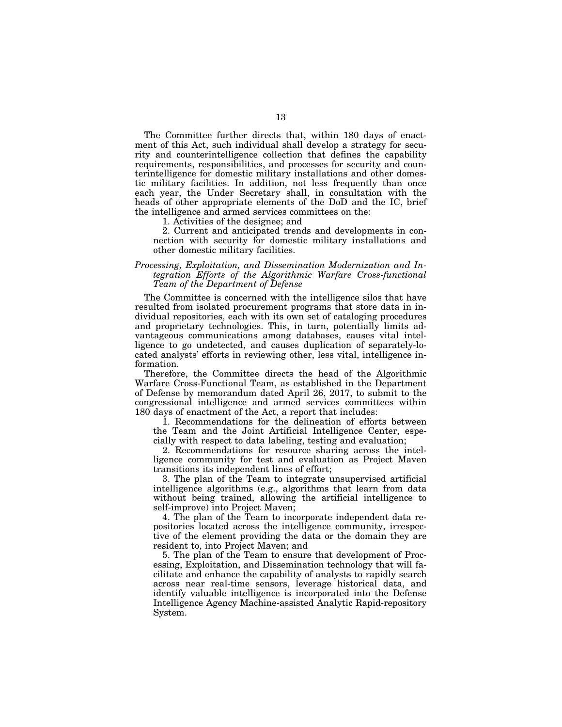The Committee further directs that, within 180 days of enactment of this Act, such individual shall develop a strategy for security and counterintelligence collection that defines the capability requirements, responsibilities, and processes for security and counterintelligence for domestic military installations and other domestic military facilities. In addition, not less frequently than once each year, the Under Secretary shall, in consultation with the heads of other appropriate elements of the DoD and the IC, brief the intelligence and armed services committees on the:

1. Activities of the designee; and

2. Current and anticipated trends and developments in connection with security for domestic military installations and other domestic military facilities.

# *Processing, Exploitation, and Dissemination Modernization and Integration Efforts of the Algorithmic Warfare Cross-functional Team of the Department of Defense*

The Committee is concerned with the intelligence silos that have resulted from isolated procurement programs that store data in individual repositories, each with its own set of cataloging procedures and proprietary technologies. This, in turn, potentially limits advantageous communications among databases, causes vital intelligence to go undetected, and causes duplication of separately-located analysts' efforts in reviewing other, less vital, intelligence information.

Therefore, the Committee directs the head of the Algorithmic Warfare Cross-Functional Team, as established in the Department of Defense by memorandum dated April 26, 2017, to submit to the congressional intelligence and armed services committees within 180 days of enactment of the Act, a report that includes:

1. Recommendations for the delineation of efforts between the Team and the Joint Artificial Intelligence Center, especially with respect to data labeling, testing and evaluation;

2. Recommendations for resource sharing across the intelligence community for test and evaluation as Project Maven transitions its independent lines of effort;

3. The plan of the Team to integrate unsupervised artificial intelligence algorithms (e.g., algorithms that learn from data without being trained, allowing the artificial intelligence to self-improve) into Project Maven;

4. The plan of the Team to incorporate independent data repositories located across the intelligence community, irrespective of the element providing the data or the domain they are resident to, into Project Maven; and

5. The plan of the Team to ensure that development of Processing, Exploitation, and Dissemination technology that will facilitate and enhance the capability of analysts to rapidly search across near real-time sensors, leverage historical data, and identify valuable intelligence is incorporated into the Defense Intelligence Agency Machine-assisted Analytic Rapid-repository System.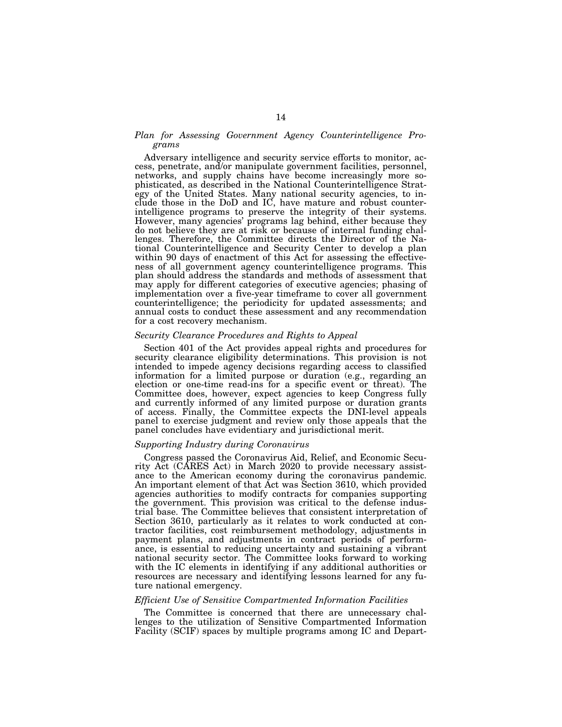# *Plan for Assessing Government Agency Counterintelligence Programs*

Adversary intelligence and security service efforts to monitor, access, penetrate, and/or manipulate government facilities, personnel, networks, and supply chains have become increasingly more sophisticated, as described in the National Counterintelligence Strategy of the United States. Many national security agencies, to include those in the DoD and IC, have mature and robust counterintelligence programs to preserve the integrity of their systems. However, many agencies' programs lag behind, either because they do not believe they are at risk or because of internal funding challenges. Therefore, the Committee directs the Director of the National Counterintelligence and Security Center to develop a plan within 90 days of enactment of this Act for assessing the effectiveness of all government agency counterintelligence programs. This plan should address the standards and methods of assessment that may apply for different categories of executive agencies; phasing of implementation over a five-year timeframe to cover all government counterintelligence; the periodicity for updated assessments; and annual costs to conduct these assessment and any recommendation for a cost recovery mechanism.

#### *Security Clearance Procedures and Rights to Appeal*

Section 401 of the Act provides appeal rights and procedures for security clearance eligibility determinations. This provision is not intended to impede agency decisions regarding access to classified information for a limited purpose or duration (e.g., regarding an election or one-time read-ins for a specific event or threat). The Committee does, however, expect agencies to keep Congress fully and currently informed of any limited purpose or duration grants of access. Finally, the Committee expects the DNI-level appeals panel to exercise judgment and review only those appeals that the panel concludes have evidentiary and jurisdictional merit.

#### *Supporting Industry during Coronavirus*

Congress passed the Coronavirus Aid, Relief, and Economic Security Act (CARES Act) in March 2020 to provide necessary assistance to the American economy during the coronavirus pandemic. An important element of that Act was Section 3610, which provided agencies authorities to modify contracts for companies supporting the government. This provision was critical to the defense industrial base. The Committee believes that consistent interpretation of Section 3610, particularly as it relates to work conducted at contractor facilities, cost reimbursement methodology, adjustments in payment plans, and adjustments in contract periods of performance, is essential to reducing uncertainty and sustaining a vibrant national security sector. The Committee looks forward to working with the IC elements in identifying if any additional authorities or resources are necessary and identifying lessons learned for any future national emergency.

#### *Efficient Use of Sensitive Compartmented Information Facilities*

The Committee is concerned that there are unnecessary challenges to the utilization of Sensitive Compartmented Information Facility (SCIF) spaces by multiple programs among IC and Depart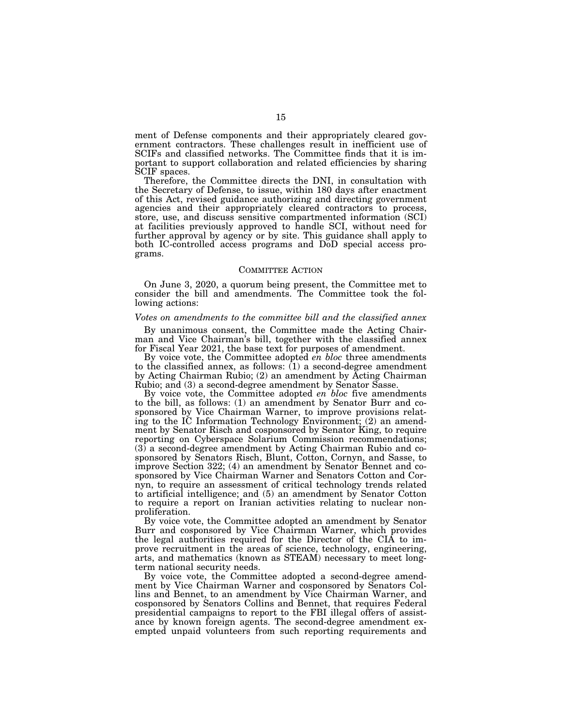ment of Defense components and their appropriately cleared government contractors. These challenges result in inefficient use of SCIFs and classified networks. The Committee finds that it is important to support collaboration and related efficiencies by sharing SCIF spaces.

Therefore, the Committee directs the DNI, in consultation with the Secretary of Defense, to issue, within 180 days after enactment of this Act, revised guidance authorizing and directing government agencies and their appropriately cleared contractors to process, store, use, and discuss sensitive compartmented information (SCI) at facilities previously approved to handle SCI, without need for further approval by agency or by site. This guidance shall apply to both IC-controlled access programs and DoD special access programs.

#### COMMITTEE ACTION

On June 3, 2020, a quorum being present, the Committee met to consider the bill and amendments. The Committee took the following actions:

#### *Votes on amendments to the committee bill and the classified annex*

By unanimous consent, the Committee made the Acting Chairman and Vice Chairman's bill, together with the classified annex for Fiscal Year 2021, the base text for purposes of amendment.

By voice vote, the Committee adopted *en bloc* three amendments to the classified annex, as follows:  $(1)$  a second-degree amendment by Acting Chairman Rubio; (2) an amendment by Acting Chairman Rubio; and (3) a second-degree amendment by Senator Sasse.

By voice vote, the Committee adopted *en bloc* five amendments to the bill, as follows: (1) an amendment by Senator Burr and cosponsored by Vice Chairman Warner, to improve provisions relating to the IC Information Technology Environment; (2) an amendment by Senator Risch and cosponsored by Senator King, to require reporting on Cyberspace Solarium Commission recommendations; (3) a second-degree amendment by Acting Chairman Rubio and cosponsored by Senators Risch, Blunt, Cotton, Cornyn, and Sasse, to improve Section 322; (4) an amendment by Senator Bennet and cosponsored by Vice Chairman Warner and Senators Cotton and Cornyn, to require an assessment of critical technology trends related to artificial intelligence; and (5) an amendment by Senator Cotton to require a report on Iranian activities relating to nuclear nonproliferation.

By voice vote, the Committee adopted an amendment by Senator Burr and cosponsored by Vice Chairman Warner, which provides the legal authorities required for the Director of the CIA to improve recruitment in the areas of science, technology, engineering, arts, and mathematics (known as STEAM) necessary to meet longterm national security needs.

By voice vote, the Committee adopted a second-degree amendment by Vice Chairman Warner and cosponsored by Senators Collins and Bennet, to an amendment by Vice Chairman Warner, and cosponsored by Senators Collins and Bennet, that requires Federal presidential campaigns to report to the FBI illegal offers of assistance by known foreign agents. The second-degree amendment exempted unpaid volunteers from such reporting requirements and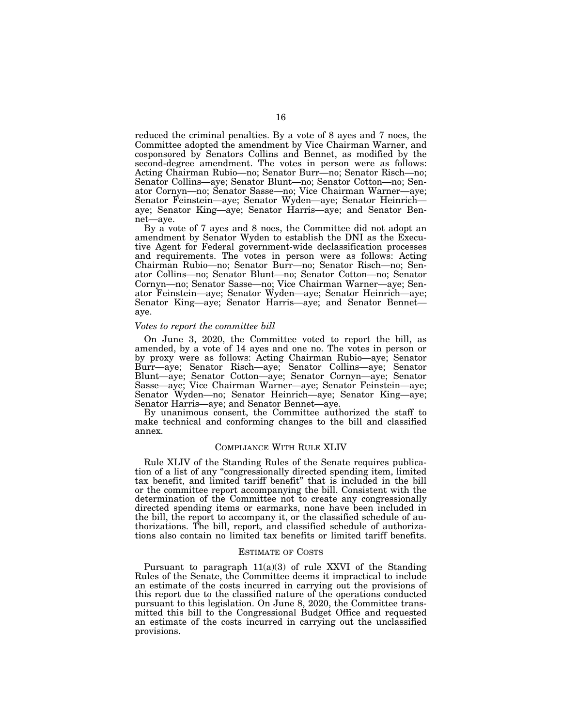reduced the criminal penalties. By a vote of 8 ayes and 7 noes, the Committee adopted the amendment by Vice Chairman Warner, and cosponsored by Senators Collins and Bennet, as modified by the second-degree amendment. The votes in person were as follows: Acting Chairman Rubio—no; Senator Burr—no; Senator Risch—no; Senator Collins—aye; Senator Blunt—no; Senator Cotton—no; Senator Cornyn—no; Senator Sasse—no; Vice Chairman Warner—aye; Senator Feinstein—aye; Senator Wyden—aye; Senator Heinrich aye; Senator King—aye; Senator Harris—aye; and Senator Bennet—aye.

By a vote of 7 ayes and 8 noes, the Committee did not adopt an amendment by Senator Wyden to establish the DNI as the Executive Agent for Federal government-wide declassification processes and requirements. The votes in person were as follows: Acting Chairman Rubio—no; Senator Burr—no; Senator Risch—no; Senator Collins—no; Senator Blunt—no; Senator Cotton—no; Senator Cornyn—no; Senator Sasse—no; Vice Chairman Warner—aye; Senator Feinstein—aye; Senator Wyden—aye; Senator Heinrich—aye; Senator King—aye; Senator Harris—aye; and Senator Bennet aye.

#### *Votes to report the committee bill*

On June 3, 2020, the Committee voted to report the bill, as amended, by a vote of 14 ayes and one no. The votes in person or by proxy were as follows: Acting Chairman Rubio—aye; Senator Burr—aye; Senator Risch—aye; Senator Collins—aye; Senator Blunt—aye; Senator Cotton—aye; Senator Cornyn—aye; Senator Sasse—aye; Vice Chairman Warner—aye; Senator Feinstein—aye; Senator Wyden—no; Senator Heinrich—aye; Senator King—aye; Senator Harris—aye; and Senator Bennet—aye.

By unanimous consent, the Committee authorized the staff to make technical and conforming changes to the bill and classified annex.

#### COMPLIANCE WITH RULE XLIV

Rule XLIV of the Standing Rules of the Senate requires publication of a list of any ''congressionally directed spending item, limited tax benefit, and limited tariff benefit'' that is included in the bill or the committee report accompanying the bill. Consistent with the determination of the Committee not to create any congressionally directed spending items or earmarks, none have been included in the bill, the report to accompany it, or the classified schedule of authorizations. The bill, report, and classified schedule of authorizations also contain no limited tax benefits or limited tariff benefits.

#### ESTIMATE OF COSTS

Pursuant to paragraph  $11(a)(3)$  of rule XXVI of the Standing Rules of the Senate, the Committee deems it impractical to include an estimate of the costs incurred in carrying out the provisions of this report due to the classified nature of the operations conducted pursuant to this legislation. On June 8, 2020, the Committee transmitted this bill to the Congressional Budget Office and requested an estimate of the costs incurred in carrying out the unclassified provisions.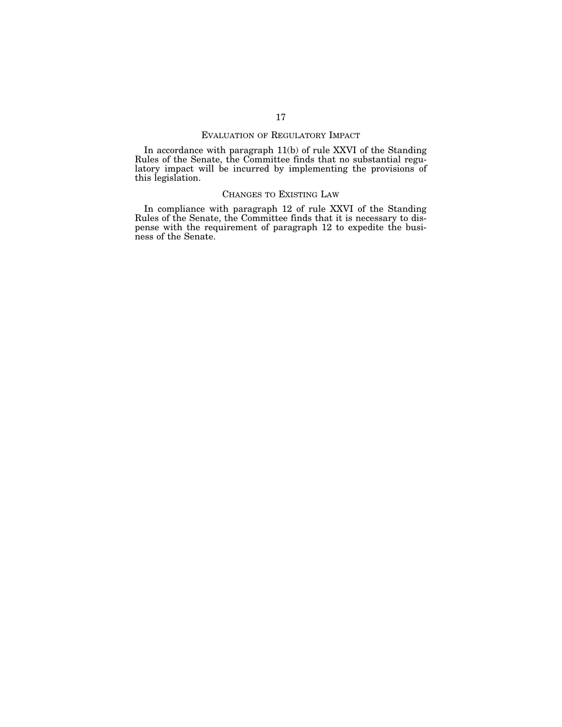# EVALUATION OF REGULATORY IMPACT

In accordance with paragraph 11(b) of rule XXVI of the Standing Rules of the Senate, the Committee finds that no substantial regulatory impact will be incurred by implementing the provisions of this legislation.

# CHANGES TO EXISTING LAW

In compliance with paragraph 12 of rule XXVI of the Standing Rules of the Senate, the Committee finds that it is necessary to dispense with the requirement of paragraph 12 to expedite the business of the Senate.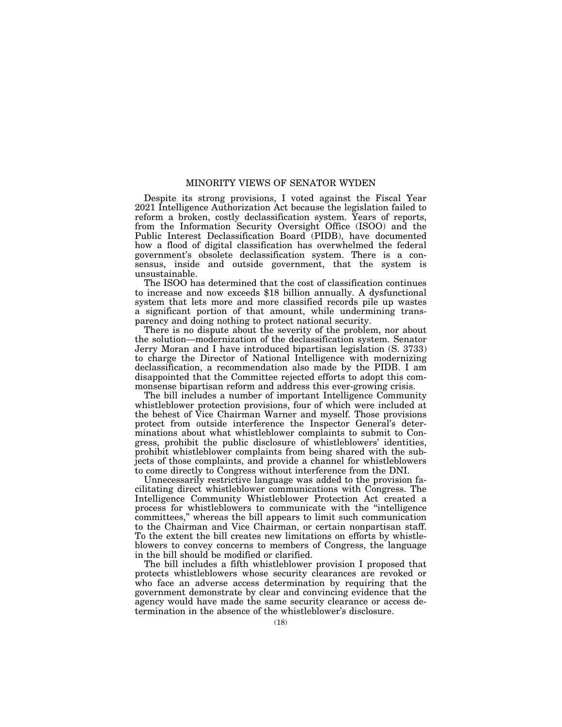#### MINORITY VIEWS OF SENATOR WYDEN

Despite its strong provisions, I voted against the Fiscal Year 2021 Intelligence Authorization Act because the legislation failed to reform a broken, costly declassification system. Years of reports, from the Information Security Oversight Office (ISOO) and the Public Interest Declassification Board (PIDB), have documented how a flood of digital classification has overwhelmed the federal government's obsolete declassification system. There is a consensus, inside and outside government, that the system is unsustainable.

The ISOO has determined that the cost of classification continues to increase and now exceeds \$18 billion annually. A dysfunctional system that lets more and more classified records pile up wastes a significant portion of that amount, while undermining transparency and doing nothing to protect national security.

There is no dispute about the severity of the problem, nor about the solution—modernization of the declassification system. Senator Jerry Moran and I have introduced bipartisan legislation (S. 3733) to charge the Director of National Intelligence with modernizing declassification, a recommendation also made by the PIDB. I am disappointed that the Committee rejected efforts to adopt this commonsense bipartisan reform and address this ever-growing crisis.

The bill includes a number of important Intelligence Community whistleblower protection provisions, four of which were included at the behest of Vice Chairman Warner and myself. Those provisions protect from outside interference the Inspector General's determinations about what whistleblower complaints to submit to Congress, prohibit the public disclosure of whistleblowers' identities, prohibit whistleblower complaints from being shared with the subjects of those complaints, and provide a channel for whistleblowers to come directly to Congress without interference from the DNI.

Unnecessarily restrictive language was added to the provision facilitating direct whistleblower communications with Congress. The Intelligence Community Whistleblower Protection Act created a process for whistleblowers to communicate with the ''intelligence committees,'' whereas the bill appears to limit such communication to the Chairman and Vice Chairman, or certain nonpartisan staff. To the extent the bill creates new limitations on efforts by whistleblowers to convey concerns to members of Congress, the language in the bill should be modified or clarified.

The bill includes a fifth whistleblower provision I proposed that protects whistleblowers whose security clearances are revoked or who face an adverse access determination by requiring that the government demonstrate by clear and convincing evidence that the agency would have made the same security clearance or access determination in the absence of the whistleblower's disclosure.